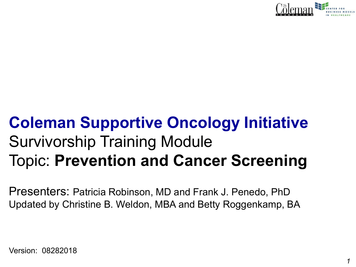

# **Coleman Supportive Oncology Initiative**  Survivorship Training Module Topic: **Prevention and Cancer Screening**

Presenters: Patricia Robinson, MD and Frank J. Penedo, PhD Updated by Christine B. Weldon, MBA and Betty Roggenkamp, BA

Version: 08282018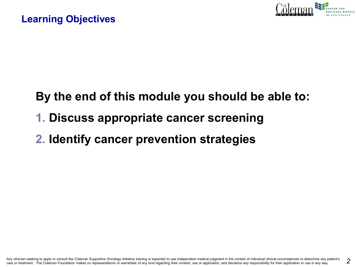

# **By the end of this module you should be able to:**

**1. Discuss appropriate cancer screening** 

# **2. Identify cancer prevention strategies**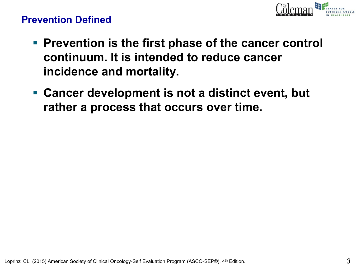

### **Prevention Defined**

- Prevention is the first phase of the cancer control **continuum. It is intended to reduce cancer incidence and mortality.**
- **Cancer development is not a distinct event, but rather a process that occurs over time.**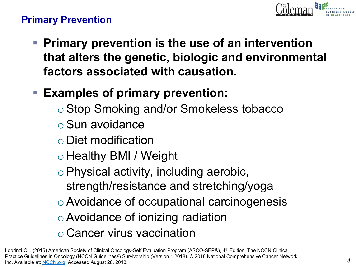

### **Primary Prevention**

▪ **Primary prevention is the use of an intervention that alters the genetic, biologic and environmental factors associated with causation.**

# ▪ **Examples of primary prevention:**

- Stop Smoking and/or Smokeless tobacco
- oSun avoidance
- o Diet modification
- o Healthy BMI / Weight
- oPhysical activity, including aerobic, strength/resistance and stretching/yoga
- oAvoidance of occupational carcinogenesis
- oAvoidance of ionizing radiation
- o Cancer virus vaccination

Loprinzi CL. (2015) American Society of Clinical Oncology-Self Evaluation Program (ASCO-SEP®), 4<sup>th</sup> Edition; The NCCN Clinical Practice Guidelines in Oncology (NCCN Guidelines®) Survivorship (Version 1.2018). © 2018 National Comprehensive Cancer Network, Inc. Available at: [NCCN.org.](http://www.nccn.org/) Accessed August 28, 2018.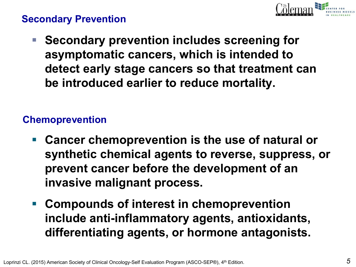

### **Secondary Prevention**

■ Secondary prevention includes screening for **asymptomatic cancers, which is intended to detect early stage cancers so that treatment can be introduced earlier to reduce mortality.**

### **Chemoprevention**

- Cancer chemoprevention is the use of natural or **synthetic chemical agents to reverse, suppress, or prevent cancer before the development of an invasive malignant process.**
- **Compounds of interest in chemoprevention include anti-inflammatory agents, antioxidants, differentiating agents, or hormone antagonists.**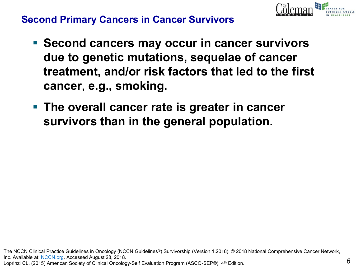

*6*

### **Second Primary Cancers in Cancer Survivors**

- **Second cancers may occur in cancer survivors due to genetic mutations, sequelae of cancer treatment, and/or risk factors that led to the first cancer**, **e.g., smoking.**
- The overall cancer rate is greater in cancer **survivors than in the general population.**

The NCCN Clinical Practice Guidelines in Oncology (NCCN Guidelines®) Survivorship (Version 1.2018). © 2018 National Comprehensive Cancer Network, Inc. Available at: [NCCN.org.](http://www.nccn.org/) Accessed August 28, 2018. Loprinzi CL. (2015) American Society of Clinical Oncology-Self Evaluation Program (ASCO-SEP®), 4<sup>th</sup> Edition.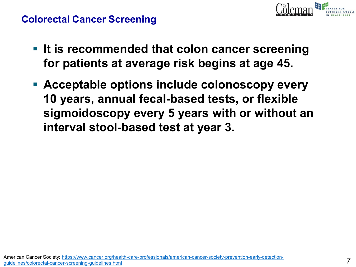### **Colorectal Cancer Screening**

- **EXTE: It is recommended that colon cancer screening for patients at average risk begins at age 45.**
- **Acceptable options include colonoscopy every 10 years, annual fecal-based tests, or flexible sigmoidoscopy every 5 years with or without an interval stool**-**based test at year 3.**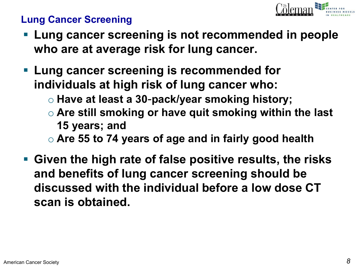

### **Lung Cancer Screening**

- **Lung cancer screening is not recommended in people who are at average risk for lung cancer.**
- **Lung cancer screening is recommended for individuals at high risk of lung cancer who:**
	- o **Have at least a 30**-**pack/year smoking history;**
	- o **Are still smoking or have quit smoking within the last 15 years; and**
	- o **Are 55 to 74 years of age and in fairly good health**
- **Given the high rate of false positive results, the risks and benefits of lung cancer screening should be discussed with the individual before a low dose CT scan is obtained.**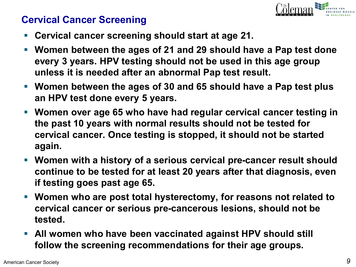

### **Cervical Cancer Screening**

- **Cervical cancer screening should start at age 21.**
- Women between the ages of 21 and 29 should have a Pap test done **every 3 years. HPV testing should not be used in this age group unless it is needed after an abnormal Pap test result.**
- **Women between the ages of 30 and 65 should have a Pap test plus an HPV test done every 5 years.**
- **Women over age 65 who have had regular cervical cancer testing in the past 10 years with normal results should not be tested for cervical cancer. Once testing is stopped, it should not be started again.**
- Women with a history of a serious cervical pre-cancer result should **continue to be tested for at least 20 years after that diagnosis, even if testing goes past age 65.**
- Women who are post total hysterectomy, for reasons not related to **cervical cancer or serious pre-cancerous lesions, should not be tested.**
- All women who have been vaccinated against HPV should still **follow the screening recommendations for their age groups.**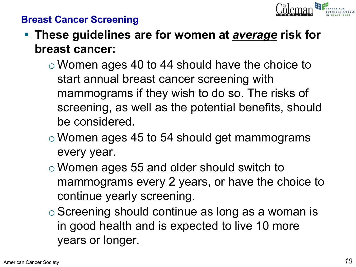

### **Breast Cancer Screening**

- These guidelines are for women at *average* risk for **breast cancer:**
	- o Women ages 40 to 44 should have the choice to start annual breast cancer screening with mammograms if they wish to do so. The risks of screening, as well as the potential benefits, should be considered.
	- o Women ages 45 to 54 should get mammograms every year.
	- o Women ages 55 and older should switch to mammograms every 2 years, or have the choice to continue yearly screening.
	- o Screening should continue as long as a woman is in good health and is expected to live 10 more years or longer.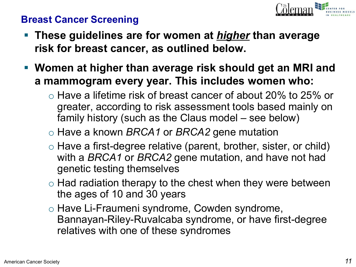

### **Breast Cancer Screening**

- **These guidelines are for women at** *higher* **than average risk for breast cancer, as outlined below.**
- **Women at higher than average risk should get an MRI and a mammogram every year. This includes women who:**
	- $\circ$  Have a lifetime risk of breast cancer of about 20% to 25% or greater, according to risk assessment tools based mainly on family history (such as the Claus model – see below)
	- o Have a known *BRCA1* or *BRCA2* gene mutation
	- $\circ$  Have a first-degree relative (parent, brother, sister, or child) with a *BRCA1* or *BRCA2* gene mutation, and have not had genetic testing themselves
	- $\circ$  Had radiation therapy to the chest when they were between the ages of 10 and 30 years
	- o Have Li-Fraumeni syndrome, Cowden syndrome, Bannayan-Riley-Ruvalcaba syndrome, or have first-degree relatives with one of these syndromes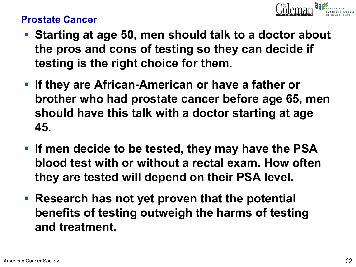

### **Prostate Cancer**

- Starting at age 50, men should talk to a doctor about **the pros and cons of testing so they can decide if testing is the right choice for them.**
- If they are African-American or have a father or **brother who had prostate cancer before age 65, men should have this talk with a doctor starting at age 45.**
- If men decide to be tested, they may have the PSA **blood test with or without a rectal exam. How often they are tested will depend on their PSA level.**
- **Example 3 Research has not yet proven that the potential benefits of testing outweigh the harms of testing and treatment.**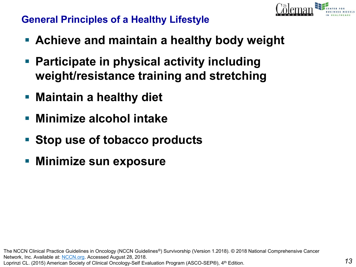

### **General Principles of a Healthy Lifestyle**

- **Achieve and maintain a healthy body weight**
- Participate in physical activity including **weight/resistance training and stretching**
- **Maintain a healthy diet**
- **Minimize alcohol intake**
- **Stop use of tobacco products**
- **Minimize sun exposure**

The NCCN Clinical Practice Guidelines in Oncology (NCCN Guidelines®) Survivorship (Version 1.2018). © 2018 National Comprehensive Cancer Network, Inc. Available at: [NCCN.org.](http://www.nccn.org/) Accessed August 28, 2018. Loprinzi CL. (2015) American Society of Clinical Oncology-Self Evaluation Program (ASCO-SEP®), 4th Edition.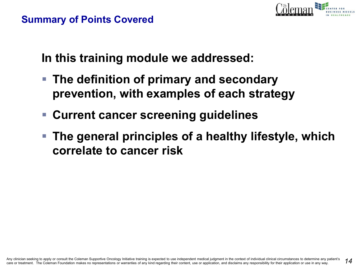

### **Summary of Points Covered**

**In this training module we addressed:**

- The definition of primary and secondary **prevention, with examples of each strategy**
- **Current cancer screening guidelines**
- **The general principles of a healthy lifestyle, which correlate to cancer risk**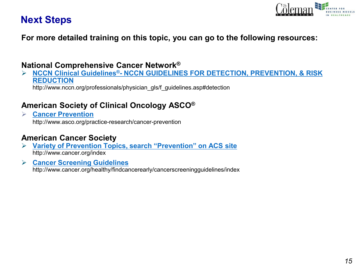

### **Next Steps**

**For more detailed training on this topic, you can go to the following resources:** 

#### **National Comprehensive Cancer Network®**

➢ **NCCN Clinical Guidelines®- [NCCN GUIDELINES FOR DETECTION, PREVENTION, & RISK](http://www.nccn.org/professionals/physician_gls/f_guidelines.asp#detection)  REDUCTION** http://www.nccn.org/professionals/physician\_gls/f\_guidelines.asp#detection

#### **American Society of Clinical Oncology ASCO®**

➢ **[Cancer Prevention](http://www.asco.org/practice-research/cancer-prevention)** http://www.asco.org/practice-research/cancer-prevention

#### **American Cancer Society**

➢ **[Variety of Prevention Topics, search "Prevention" on ACS site](http://www.cancer.org/index)** http://www.cancer.org/index

#### ➢ **[Cancer Screening Guidelines](http://www.cancer.org/healthy/findcancerearly/cancerscreeningguidelines/index)**

http://www.cancer.org/healthy/findcancerearly/cancerscreeningguidelines/index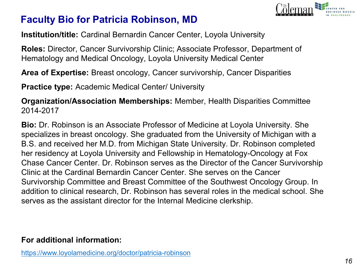

### **Faculty Bio for Patricia Robinson, MD**

**Institution/title:** Cardinal Bernardin Cancer Center, Loyola University

**Roles:** Director, Cancer Survivorship Clinic; Associate Professor, Department of Hematology and Medical Oncology, Loyola University Medical Center

**Area of Expertise:** Breast oncology, Cancer survivorship, Cancer Disparities

**Practice type:** Academic Medical Center/ University

**Organization/Association Memberships:** Member, Health Disparities Committee 2014-2017

**Bio:** Dr. Robinson is an Associate Professor of Medicine at Loyola University. She specializes in breast oncology. She graduated from the University of Michigan with a B.S. and received her M.D. from Michigan State University. Dr. Robinson completed her residency at Loyola University and Fellowship in Hematology-Oncology at Fox Chase Cancer Center. Dr. Robinson serves as the Director of the Cancer Survivorship Clinic at the Cardinal Bernardin Cancer Center. She serves on the Cancer Survivorship Committee and Breast Committee of the Southwest Oncology Group. In addition to clinical research, Dr. Robinson has several roles in the medical school. She serves as the assistant director for the Internal Medicine clerkship.

#### **For additional information:**

<https://www.loyolamedicine.org/doctor/patricia-robinson>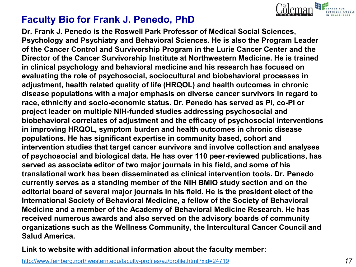

### **Faculty Bio for Frank J. Penedo, PhD**

**Dr. Frank J. Penedo is the Roswell Park Professor of Medical Social Sciences, Psychology and Psychiatry and Behavioral Sciences. He is also the Program Leader of the Cancer Control and Survivorship Program in the Lurie Cancer Center and the Director of the Cancer Survivorship Institute at Northwestern Medicine. He is trained in clinical psychology and behavioral medicine and his research has focused on evaluating the role of psychosocial, sociocultural and biobehavioral processes in adjustment, health related quality of life (HRQOL) and health outcomes in chronic disease populations with a major emphasis on diverse cancer survivors in regard to race, ethnicity and socio-economic status. Dr. Penedo has served as PI, co-PI or project leader on multiple NIH-funded studies addressing psychosocial and biobehavioral correlates of adjustment and the efficacy of psychosocial interventions in improving HRQOL, symptom burden and health outcomes in chronic disease populations. He has significant expertise in community based, cohort and intervention studies that target cancer survivors and involve collection and analyses of psychosocial and biological data. He has over 110 peer-reviewed publications, has served as associate editor of two major journals in his field, and some of his translational work has been disseminated as clinical intervention tools. Dr. Penedo currently serves as a standing member of the NIH BMIO study section and on the editorial board of several major journals in his field. He is the president elect of the International Society of Behavioral Medicine, a fellow of the Society of Behavioral Medicine and a member of the Academy of Behavioral Medicine Research. He has received numerous awards and also served on the advisory boards of community organizations such as the Wellness Community, the Intercultural Cancer Council and Salud America.**

**Link to website with additional information about the faculty member:**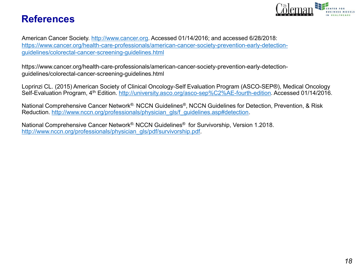### **References**



American Cancer Society. [http://www.cancer.org.](http://www.cancer.org) Accessed 01/14/2016; and accessed 6/28/2018: [https://www.cancer.org/health-care-professionals/american-cancer-society-prevention-early-detection](https://www.cancer.org/health-care-professionals/american-cancer-society-prevention-early-detection-guidelines/colorectal-cancer-screening-guidelines.html)guidelines/colorectal-cancer-screening-guidelines.html

https://www.cancer.org/health-care-professionals/american-cancer-society-prevention-early-detectionguidelines/colorectal-cancer-screening-guidelines.html

Loprinzi CL. (2015) American Society of Clinical Oncology-Self Evaluation Program (ASCO-SEP®), Medical Oncology Self-Evaluation Program, 4th Edition. [http://university.asco.org/asco-sep%C2%AE-fourth-edition.](http://university.asco.org/asco-sep%C2%AE-fourth-edition) Accessed 01/14/2016.

National Comprehensive Cancer Network®. NCCN Guidelines®, NCCN Guidelines for Detection, Prevention, & Risk Reduction. [http://www.nccn.org/professionals/physician\\_gls/f\\_guidelines.asp#detection](http://www.nccn.org/professionals/physician_gls/f_guidelines.asp#detection).

National Comprehensive Cancer Network®. NCCN Guidelines® for Survivorship, Version 1.2018. [http://www.nccn.org/professionals/physician\\_gls/pdf/survivorship.pdf.](http://www.nccn.org/professionals/physician_gls/pdf/survivorship.pdf)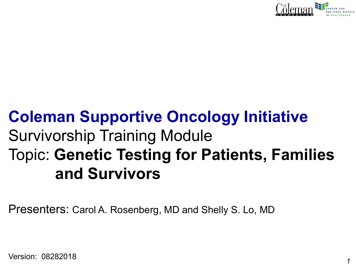

# **Coleman Supportive Oncology Initiative**  Survivorship Training Module Topic: **Genetic Testing for Patients, Families and Survivors**

Presenters: Carol A. Rosenberg, MD and Shelly S. Lo, MD

Version: 08282018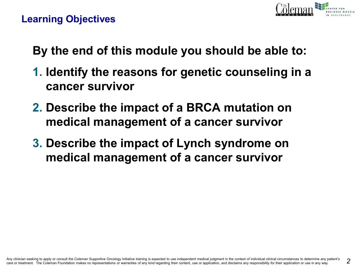

### **Learning Objectives**

**By the end of this module you should be able to:**

- **1. Identify the reasons for genetic counseling in a cancer survivor**
- **2. Describe the impact of a BRCA mutation on medical management of a cancer survivor**
- **3. Describe the impact of Lynch syndrome on medical management of a cancer survivor**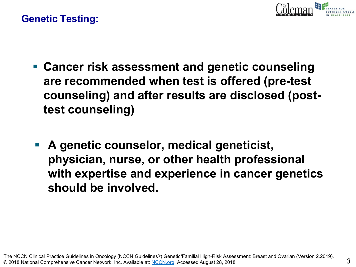

### **Genetic Testing:**

- Cancer risk assessment and genetic counseling **are recommended when test is offered (pre-test counseling) and after results are disclosed (posttest counseling)**
- A genetic counselor, medical geneticist, **physician, nurse, or other health professional with expertise and experience in cancer genetics should be involved.**

The NCCN Clinical Practice Guidelines in Oncology (NCCN Guidelines®) Genetic/Familial High-Risk Assessment: Breast and Ovarian (Version 2.2019). © 2018 National Comprehensive Cancer Network, Inc. Available at: [NCCN.org](http://www.nccn.org/). Accessed August 28, 2018.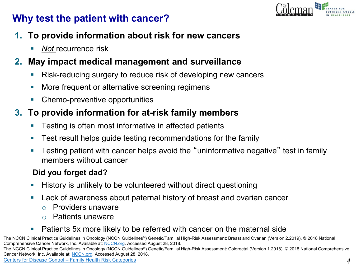

### **Why test the patient with cancer?**

- **1. To provide information about risk for new cancers**
	- *Not* recurrence risk
- **2. May impact medical management and surveillance**
	- Risk-reducing surgery to reduce risk of developing new cancers
	- More frequent or alternative screening regimens
	- Chemo-preventive opportunities

### **3. To provide information for at-risk family members**

- **EXECT** Testing is often most informative in affected patients
- **EXECT** Test result helps guide testing recommendations for the family
- **•** Testing patient with cancer helps avoid the "uninformative negative" test in family members without cancer

### **Did you forget dad?**

- History is unlikely to be volunteered without direct questioning
- Lack of awareness about paternal history of breast and ovarian cancer
	- o Providers unaware
	- o Patients unaware
- Patients 5x more likely to be referred with cancer on the maternal side

The NCCN Clinical Practice Guidelines in Oncology (NCCN Guidelines®) Genetic/Familial High-Risk Assessment: Breast and Ovarian (Version 2.2019). © 2018 National Comprehensive Cancer Network, Inc. Available at: [NCCN.org](http://www.nccn.org/). Accessed August 28, 2018. The NCCN Clinical Practice Guidelines in Oncology (NCCN Guidelines®) Genetic/Familial High-Risk Assessment: Colorectal (Version 1.2018). © 2018 National Comprehensive

Centers for Disease Control – [Family Health Risk Categories](https://www.cdc.gov/genomics/resources/diseases/breast_ovarian_cancer/risk_categories.htm) Cancer Network, Inc. Available at: [NCCN.org.](http://www.nccn.org/) Accessed August 28, 2018.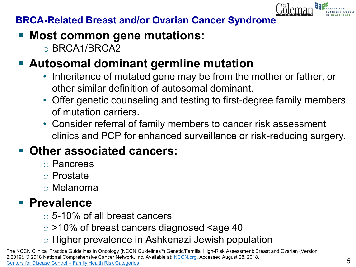

### **BRCA-Related Breast and/or Ovarian Cancer Syndrome**

- **Most common gene mutations:** 
	- o BRCA1/BRCA2

# ▪ **Autosomal dominant germline mutation**

- Inheritance of mutated gene may be from the mother or father, or other similar definition of autosomal dominant.
- Offer genetic counseling and testing to first-degree family members of mutation carriers.
- Consider referral of family members to cancer risk assessment clinics and PCP for enhanced surveillance or risk-reducing surgery.

# **Other associated cancers:**

- o Pancreas
- o Prostate
- o Melanoma

# ▪ **Prevalence**

- o 5-10% of all breast cancers
- $\circ$  >10% of breast cancers diagnosed <age 40
- o Higher prevalence in Ashkenazi Jewish population

The NCCN Clinical Practice Guidelines in Oncology (NCCN Guidelines®) Genetic/Familial High-Risk Assessment: Breast and Ovarian (Version 2.2019). © 2018 National Comprehensive Cancer Network, Inc. Available at: [NCCN.org.](http://www.nccn.org/) Accessed August 28, 2018. Centers for Disease Control – [Family Health Risk Categories](https://www.cdc.gov/genomics/resources/diseases/breast_ovarian_cancer/risk_categories.htm)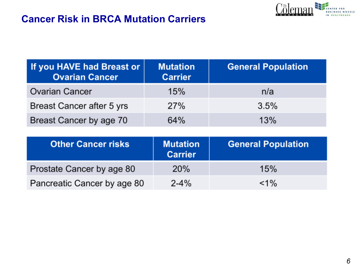### **Cancer Risk in BRCA Mutation Carriers**



| If you HAVE had Breast or<br><b>Ovarian Cancer</b> | <b>Mutation</b><br><b>Carrier</b> | <b>General Population</b> |
|----------------------------------------------------|-----------------------------------|---------------------------|
| <b>Ovarian Cancer</b>                              | 15%                               | n/a                       |
| Breast Cancer after 5 yrs                          | 27%                               | 3.5%                      |
| Breast Cancer by age 70                            | 64%                               | 13%                       |

| <b>Other Cancer risks</b>   | <b>Mutation</b><br><b>Carrier</b> | <b>General Population</b> |
|-----------------------------|-----------------------------------|---------------------------|
| Prostate Cancer by age 80   | 20%                               | 15%                       |
| Pancreatic Cancer by age 80 | $2 - 4%$                          | $< 1\%$                   |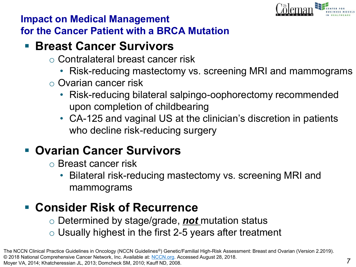

### **Impact on Medical Management for the Cancer Patient with a BRCA Mutation**

## ▪ **Breast Cancer Survivors**

- o Contralateral breast cancer risk
	- Risk-reducing mastectomy vs. screening MRI and mammograms
- o Ovarian cancer risk
	- Risk-reducing bilateral salpingo-oophorectomy recommended upon completion of childbearing
	- CA-125 and vaginal US at the clinician's discretion in patients who decline risk-reducing surgery

# ▪ **Ovarian Cancer Survivors**

- o Breast cancer risk
	- Bilateral risk-reducing mastectomy vs. screening MRI and mammograms

# ▪ **Consider Risk of Recurrence**

- o Determined by stage/grade, *not* mutation status
- $\circ$  Usually highest in the first 2-5 years after treatment

Moyer VA, 2014; Khatcheressian JL, 2013; Domcheck SM, 2010; Kauff ND, 2008.

The NCCN Clinical Practice Guidelines in Oncology (NCCN Guidelines®) Genetic/Familial High-Risk Assessment: Breast and Ovarian (Version 2.2019). © 2018 National Comprehensive Cancer Network, Inc. Available at: [NCCN.org](http://www.nccn.org/). Accessed August 28, 2018.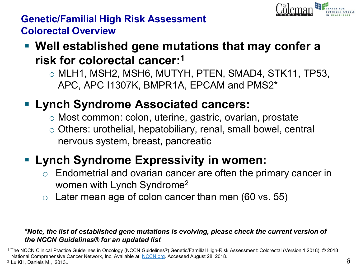

### **Genetic/Familial High Risk Assessment Colorectal Overview**

# ▪ **Well established gene mutations that may confer a risk for colorectal cancer:1**

 $\circ$  MLH1, MSH2, MSH6, MUTYH, PTEN, SMAD4, STK11, TP53, APC, APC I1307K, BMPR1A, EPCAM and PMS2\*

# ▪ **Lynch Syndrome Associated cancers:**

- o Most common: colon, uterine, gastric, ovarian, prostate
- o Others: urothelial, hepatobiliary, renal, small bowel, central nervous system, breast, pancreatic

# ▪ **Lynch Syndrome Expressivity in women:**

- $\circ$  Endometrial and ovarian cancer are often the primary cancer in women with Lynch Syndrome2
- Later mean age of colon cancer than men (60 vs. 55)

#### *\*Note, the list of established gene mutations is evolving, please check the current version of the NCCN Guidelines® for an updated list*

<sup>1</sup> The NCCN Clinical Practice Guidelines in Oncology (NCCN Guidelines®) Genetic/Familial High-Risk Assessment: Colorectal (Version 1.2018). © 2018 National Comprehensive Cancer Network, Inc. Available at: [NCCN.org](http://www.nccn.org/). Accessed August 28, 2018.

<sup>2</sup> Lu KH, Daniels M., 2013..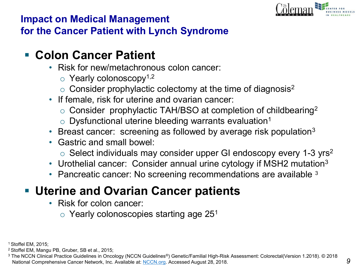

### **Impact on Medical Management for the Cancer Patient with Lynch Syndrome**

- **Colon Cancer Patient**
	- Risk for new/metachronous colon cancer:
		- $\circ$  Yearly colonoscopy<sup>1,2</sup>
		- $\circ$  Consider prophylactic colectomy at the time of diagnosis<sup>2</sup>
	- If female, risk for uterine and ovarian cancer:
		- $\circ$  Consider prophylactic TAH/BSO at completion of childbearing<sup>2</sup>
		- $\circ$  Dysfunctional uterine bleeding warrants evaluation<sup>1</sup>
	- Breast cancer: screening as followed by average risk population $3$
	- Gastric and small bowel:
		- $\circ$  Select individuals may consider upper GI endoscopy every 1-3 yrs<sup>2</sup>
	- Urothelial cancer: Consider annual urine cytology if MSH2 mutation<sup>3</sup>
	- Pancreatic cancer: No screening recommendations are available <sup>3</sup>

# ▪ **Uterine and Ovarian Cancer patients**

- Risk for colon cancer:
	- $\circ$  Yearly colonoscopies starting age 25<sup>1</sup>

1 Stoffel EM, 2015;

<sup>2</sup> Stoffel EM, Mangu PB, Gruber, SB et al., 2015;

<sup>3</sup> The NCCN Clinical Practice Guidelines in Oncology (NCCN Guidelines®) Genetic/Familial High-Risk Assessment: Colorectal(Version 1.2018). © 2018 National Comprehensive Cancer Network, Inc. Available at: [NCCN.org.](http://www.nccn.org/) Accessed August 28, 2018.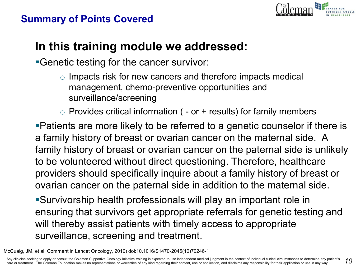### **Summary of Points Covered**



### **In this training module we addressed:**

**•Genetic testing for the cancer survivor:** 

- o Impacts risk for new cancers and therefore impacts medical management, chemo-preventive opportunities and surveillance/screening
- $\circ$  Provides critical information ( or + results) for family members

▪Patients are more likely to be referred to a genetic counselor if there is a family history of breast or ovarian cancer on the maternal side. A family history of breast or ovarian cancer on the paternal side is unlikely to be volunteered without direct questioning. Therefore, healthcare providers should specifically inquire about a family history of breast or ovarian cancer on the paternal side in addition to the maternal side.

▪Survivorship health professionals will play an important role in ensuring that survivors get appropriate referrals for genetic testing and will thereby assist patients with timely access to appropriate surveillance, screening and treatment.

McCuaig, JM, et al. Comment in Lancet Oncology, 2010) doi:10.1016/S1470-2045(10)70246-1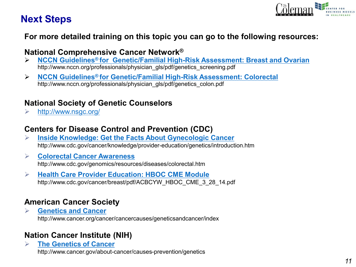### **Next Steps**



#### **For more detailed training on this topic you can go to the following resources:**

#### **National Comprehensive Cancer Network®**

- ➢ **[NCCN Guidelines® for Genetic/Familial High-Risk Assessment: Breast and Ovarian](http://www.nccn.org/professionals/physician_gls/pdf/genetics_screening.pdf)**  http://www.nccn.org/professionals/physician\_gls/pdf/genetics\_screening.pdf
- ➢ **[NCCN Guidelines® for G](http://www.nccn.org/professionals/physician_gls/pdf/genetics_screening.pdf)[enetic/Familial High-Risk Assessment: Colorecta](http://www.nccn.org/professionals/physician_gls/pdf/genetics_colon.pdf)[l](http://www.nccn.org/professionals/physician_gls/pdf/genetics_screening.pdf)** http://www.nccn.org/professionals/physician\_gls/pdf/genetics\_colon.pdf

#### **National Society of Genetic Counselors**

➢ <http://www.nsgc.org/>

#### **Centers for Disease Control and Prevention (CDC)**

- ➢ **[Inside Knowledge: Get the Facts About Gynecologic Cancer](http://www.cdc.gov/cancer/knowledge/provider-education/genetics/introduction.htm)** http://www.cdc.gov/cancer/knowledge/provider-education/genetics/introduction.htm
- ➢ **[Colorectal Cancer Awareness](http://www.cdc.gov/genomics/resources/diseases/colorectal.htm)** http://www.cdc.gov/genomics/resources/diseases/colorectal.htm
- ➢ **[Health Care Provider Education: HBOC CME Module](http://www.cdc.gov/cancer/breast/pdf/ACBCYW_HBOC_CME_3_28_14.pdf)** http://www.cdc.gov/cancer/breast/pdf/ACBCYW\_HBOC\_CME\_3\_28\_14.pdf

#### **American Cancer Society**

➢ **[Genetics and Cancer](http://www.cancer.org/cancer/cancercauses/geneticsandcancer/index)** http://www.cancer.org/cancer/cancercauses/geneticsandcancer/index

#### **Nation Cancer Institute (NIH)**

➢ **[The Genetics of Cancer](http://www.cancer.gov/about-cancer/causes-prevention/genetics)** http://www.cancer.gov/about-cancer/causes-prevention/genetics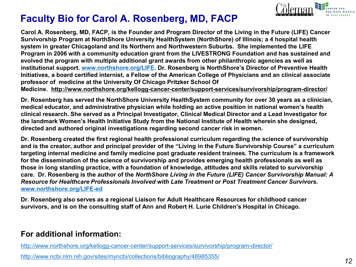

### **Faculty Bio for Carol A. Rosenberg, MD, FACP**

**Carol A. Rosenberg, MD, FACP, is the Founder and Program Director of the Living in the Future (LIFE) Cancer Survivorship Program at NorthShore University HealthSystem (NorthShore) of Illinois; a 4 hospital health system in greater Chicagoland and its Northern and Northwestern Suburbs. She implemented the LIFE Program in 2006 with a community education grant from the LIVESTRONG Foundation and has sustained and evolved the program with multiple additional grant awards from other philanthropic agencies as well as institutional support. [www.northshore.org/LIFE](http://www.northshore.org/LIFE). Dr. Rosenberg is NorthShore's Director of Preventive Health Initiatives, a board certified internist, a Fellow of the American College of Physicians and an clinical associate professor of medicine at the University Of Chicago Pritzker School Of Medicine. http://www.northshore.org/kellogg-cancer-center/support-services/survivorship/program-director/**

**Dr. Rosenberg has served the NorthShore University HealthSystem community for over 30 years as a clinician, medical educator, and administrative physician while holding an active position in national women's health clinical research. She served as a Principal Investigator, Clinical Medical Director and a Lead Investigator for the landmark Women's Health Initiative Study from the National Institute of Health wherein she designed, directed and authored original investigations regarding second cancer risk in women.** 

**Dr. Rosenberg created the first regional health professional curriculum regarding the science of survivorship and is the creator, author and principal provider of the "Living in the Future Survivorship Course" a curriculum targeting internal medicine and family medicine post graduate resident trainees. The curriculum is a framework for the dissemination of the science of survivorship and provides emerging health professionals as well as those in long standing practice, with a foundation of knowledge, attitudes and skills related to survivorship care. Dr. Rosenberg is the author of the** *NorthShore Living in the Future (LIFE) Cancer Survivorship Manual: A Resource for Healthcare Professionals Involved with Late Treatment or Post Treatment Cancer Survivors.* **[www.northshore.org/LIFE-ed](http://www.northshore.org/LIFE-ed)**

**Dr. Rosenberg also serves as a regional Liaison for Adult Healthcare Resources for childhood cancer survivors, and is on the consulting staff of Ann and Robert H. Lurie Children's Hospital in Chicago.** 

#### **For additional information:**

<http://www.northshore.org/kellogg-cancer-center/support-services/survivorship/program-director/>

<http://www.ncbi.nlm.nih.gov/sites/myncbi/collections/bibliography/48985355/>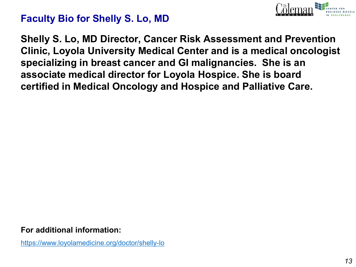

### **Faculty Bio for Shelly S. Lo, MD**

**Shelly S. Lo, MD Director, Cancer Risk Assessment and Prevention Clinic, Loyola University Medical Center and is a medical oncologist specializing in breast cancer and GI malignancies. She is an associate medical director for Loyola Hospice. She is board certified in Medical Oncology and Hospice and Palliative Care.**

**For additional information:**

<https://www.loyolamedicine.org/doctor/shelly-lo>